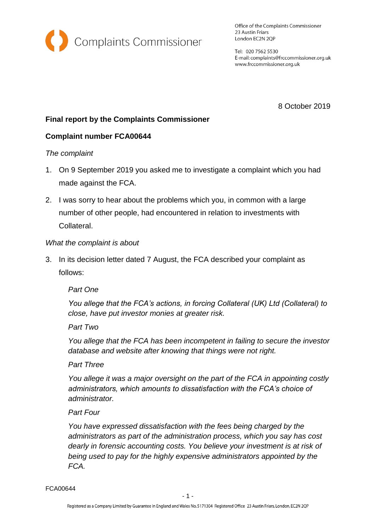

Office of the Complaints Commissioner 23 Austin Friars London EC2N 2QP

Tel: 020 7562 5530 E-mail: complaints@frccommissioner.org.uk www.frccommissioner.org.uk

8 October 2019

# **Final report by the Complaints Commissioner**

### **Complaint number FCA00644**

#### *The complaint*

- 1. On 9 September 2019 you asked me to investigate a complaint which you had made against the FCA.
- 2. I was sorry to hear about the problems which you, in common with a large number of other people, had encountered in relation to investments with Collateral.

#### *What the complaint is about*

3. In its decision letter dated 7 August, the FCA described your complaint as follows:

## *Part One*

*You allege that the FCA's actions, in forcing Collateral (UK) Ltd (Collateral) to close, have put investor monies at greater risk.* 

#### *Part Two*

*You allege that the FCA has been incompetent in failing to secure the investor database and website after knowing that things were not right.* 

#### *Part Three*

*You allege it was a major oversight on the part of the FCA in appointing costly administrators, which amounts to dissatisfaction with the FCA's choice of administrator.* 

#### *Part Four*

*You have expressed dissatisfaction with the fees being charged by the administrators as part of the administration process, which you say has cost dearly in forensic accounting costs. You believe your investment is at risk of being used to pay for the highly expensive administrators appointed by the FCA.*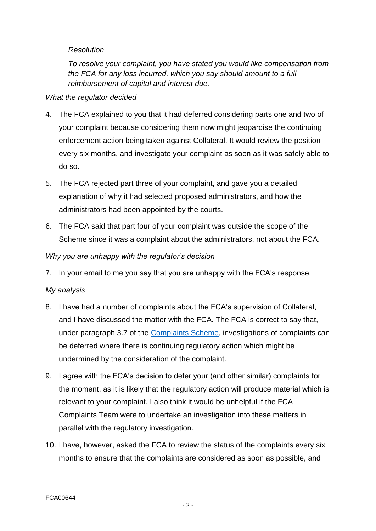### *Resolution*

*To resolve your complaint, you have stated you would like compensation from the FCA for any loss incurred, which you say should amount to a full reimbursement of capital and interest due.*

### *What the regulator decided*

- 4. The FCA explained to you that it had deferred considering parts one and two of your complaint because considering them now might jeopardise the continuing enforcement action being taken against Collateral. It would review the position every six months, and investigate your complaint as soon as it was safely able to do so.
- 5. The FCA rejected part three of your complaint, and gave you a detailed explanation of why it had selected proposed administrators, and how the administrators had been appointed by the courts.
- 6. The FCA said that part four of your complaint was outside the scope of the Scheme since it was a complaint about the administrators, not about the FCA.

### *Why you are unhappy with the regulator's decision*

7. In your email to me you say that you are unhappy with the FCA's response.

#### *My analysis*

- 8. I have had a number of complaints about the FCA's supervision of Collateral, and I have discussed the matter with the FCA. The FCA is correct to say that, under paragraph 3.7 of the [Complaints Scheme,](http://frccommissioner.org.uk/complaints-scheme/) investigations of complaints can be deferred where there is continuing regulatory action which might be undermined by the consideration of the complaint.
- 9. I agree with the FCA's decision to defer your (and other similar) complaints for the moment, as it is likely that the regulatory action will produce material which is relevant to your complaint. I also think it would be unhelpful if the FCA Complaints Team were to undertake an investigation into these matters in parallel with the regulatory investigation.
- 10. I have, however, asked the FCA to review the status of the complaints every six months to ensure that the complaints are considered as soon as possible, and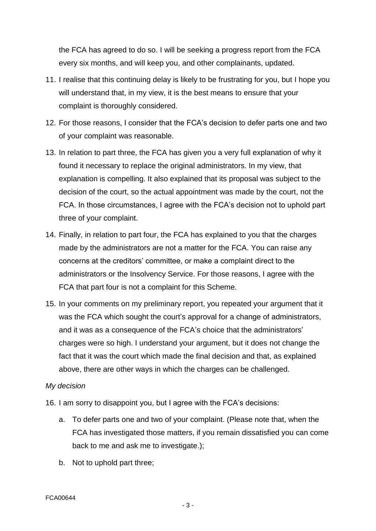the FCA has agreed to do so. I will be seeking a progress report from the FCA every six months, and will keep you, and other complainants, updated.

- 11. I realise that this continuing delay is likely to be frustrating for you, but I hope you will understand that, in my view, it is the best means to ensure that your complaint is thoroughly considered.
- 12. For those reasons, I consider that the FCA's decision to defer parts one and two of your complaint was reasonable.
- 13. In relation to part three, the FCA has given you a very full explanation of why it found it necessary to replace the original administrators. In my view, that explanation is compelling. It also explained that its proposal was subject to the decision of the court, so the actual appointment was made by the court, not the FCA. In those circumstances, I agree with the FCA's decision not to uphold part three of your complaint.
- 14. Finally, in relation to part four, the FCA has explained to you that the charges made by the administrators are not a matter for the FCA. You can raise any concerns at the creditors' committee, or make a complaint direct to the administrators or the Insolvency Service. For those reasons, I agree with the FCA that part four is not a complaint for this Scheme.
- 15. In your comments on my preliminary report, you repeated your argument that it was the FCA which sought the court's approval for a change of administrators, and it was as a consequence of the FCA's choice that the administrators' charges were so high. I understand your argument, but it does not change the fact that it was the court which made the final decision and that, as explained above, there are other ways in which the charges can be challenged.

#### *My decision*

- 16. I am sorry to disappoint you, but I agree with the FCA's decisions:
	- a. To defer parts one and two of your complaint. (Please note that, when the FCA has investigated those matters, if you remain dissatisfied you can come back to me and ask me to investigate.);
	- b. Not to uphold part three;